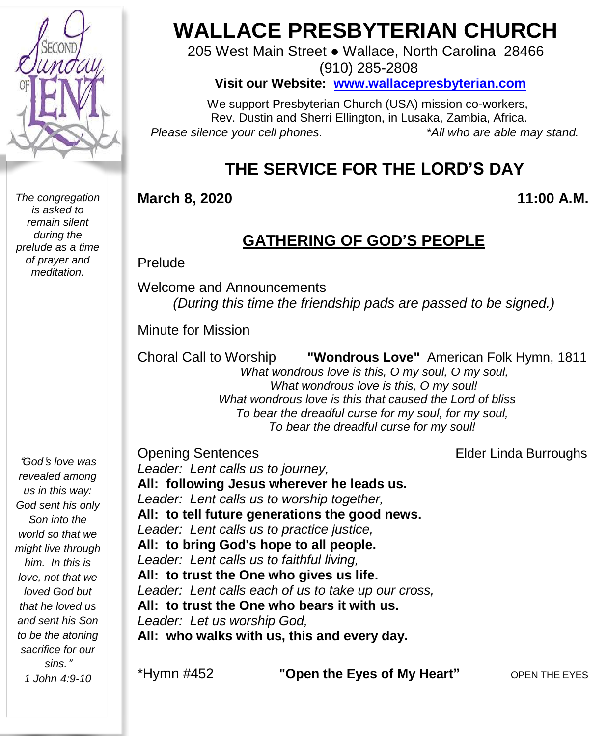

*The congregation is asked to remain silent during the prelude as a time of prayer and meditation.*

# **WALLACE PRESBYTERIAN CHURCH**

205 West Main Street ● Wallace, North Carolina 28466 (910) 285-2808

**Visit our Website: [www.wallacepresbyterian.com](http://www.wallacepresbyterian.com/)**

 We support Presbyterian Church (USA) mission co-workers, Rev. Dustin and Sherri Ellington, in Lusaka, Zambia, Africa. *Please silence your cell phones. \*All who are able may stand.*

## **THE SERVICE FOR THE LORD'S DAY**

#### **March 8, 2020 11:00 A.M.**

### **GATHERING OF GOD'S PEOPLE**

Prelude

Welcome and Announcements *(During this time the friendship pads are passed to be signed.)*

Minute for Mission

Choral Call to Worship **"Wondrous Love"** American Folk Hymn, 1811

 *What wondrous love is this, O my soul, O my soul, What wondrous love is this, O my soul! What wondrous love is this that caused the Lord of bliss To bear the dreadful curse for my soul, for my soul, To bear the dreadful curse for my soul!*

"*God*'*s love was revealed among us in this way: God sent his only Son into the world so that we might live through him. In this is love, not that we loved God but that he loved us and sent his Son to be the atoning sacrifice for our sins.*" *1 John 4:9-10*

Opening Sentences **Elder Linda Burroughs** *Leader: Lent calls us to journey,* **All: following Jesus wherever he leads us.** *Leader: Lent calls us to worship together,* **All: to tell future generations the good news.** *Leader: Lent calls us to practice justice,* **All: to bring God's hope to all people.** *Leader: Lent calls us to faithful living,* **All: to trust the One who gives us life.** *Leader: Lent calls each of us to take up our cross,* **All: to trust the One who bears it with us.** *Leader: Let us worship God,* **All: who walks with us, this and every day.**

\*Hymn #452 **"Open the Eyes of My Heart"** OPEN THE EYES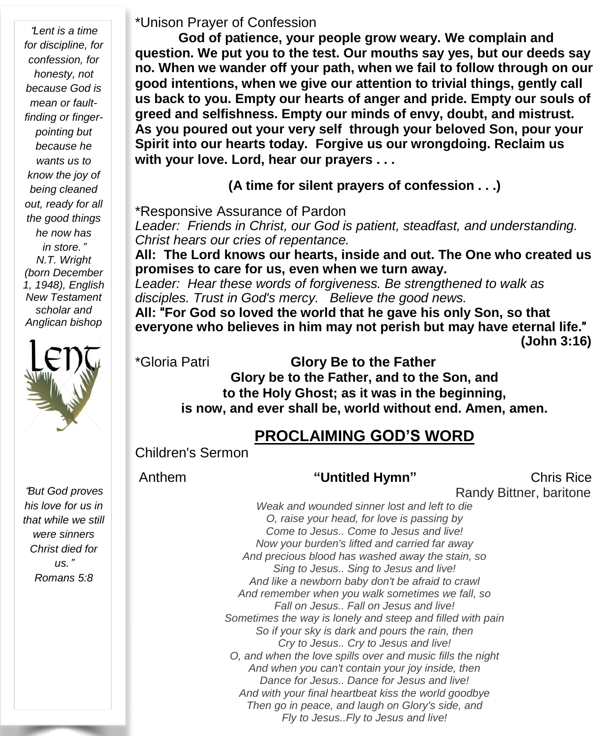"*Lent is a time for discipline, for confession, for honesty, not because God is mean or faultfinding or fingerpointing but because he wants us to know the joy of being cleaned out, ready for all the good things he now has in store.*" *N.T. Wright (born December 1, 1948), English New Testament scholar and Anglican bishop*



"*But God proves his love for us in that while we still were sinners Christ died for us.*" *Romans 5:8*

#### \*Unison Prayer of Confession

**God of patience, your people grow weary. We complain and question. We put you to the test. Our mouths say yes, but our deeds say no. When we wander off your path, when we fail to follow through on our good intentions, when we give our attention to trivial things, gently call us back to you. Empty our hearts of anger and pride. Empty our souls of greed and selfishness. Empty our minds of envy, doubt, and mistrust. As you poured out your very self through your beloved Son, pour your Spirit into our hearts today. Forgive us our wrongdoing. Reclaim us with your love. Lord, hear our prayers . . .**

**(A time for silent prayers of confession . . .)**

\*Responsive Assurance of Pardon

*Leader: Friends in Christ, our God is patient, steadfast, and understanding. Christ hears our cries of repentance.*

**All: The Lord knows our hearts, inside and out. The One who created us promises to care for us, even when we turn away.**

*Leader: Hear these words of forgiveness. Be strengthened to walk as disciples. Trust in God's mercy. Believe the good news.*

**All:** "**For God so loved the world that he gave his only Son, so that everyone who believes in him may not perish but may have eternal life.**" **(John 3:16)**

#### \*Gloria Patri **Glory Be to the Father**

**Glory be to the Father, and to the Son, and to the Holy Ghost; as it was in the beginning, is now, and ever shall be, world without end. Amen, amen.**

## **PROCLAIMING GOD'S WORD**

Children's Sermon

Anthem **"Untitled Hymn"** Chris Rice Randy Bittner, baritone *Weak and wounded sinner lost and left to die O, raise your head, for love is passing by Come to Jesus.. Come to Jesus and live! Now your burden's lifted and carried far away And precious blood has washed away the stain, so Sing to Jesus.. Sing to Jesus and live! And like a newborn baby don't be afraid to crawl And remember when you walk sometimes we fall, so Fall on Jesus.. Fall on Jesus and live! Sometimes the way is lonely and steep and filled with pain So if your sky is dark and pours the rain, then Cry to Jesus.. Cry to Jesus and live! O, and when the love spills over and music fills the night And when you can't contain your joy inside, then Dance for Jesus.. Dance for Jesus and live!*

*And with your final heartbeat kiss the world goodbye Then go in peace, and laugh on Glory's side, and Fly to Jesus..Fly to Jesus and live!*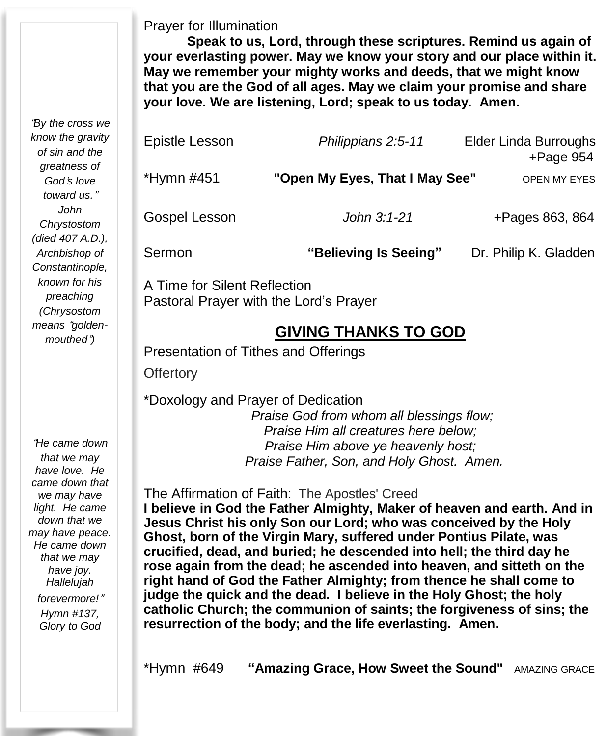Prayer for Illumination

**Speak to us, Lord, through these scriptures. Remind us again of your everlasting power. May we know your story and our place within it. May we remember your mighty works and deeds, that we might know that you are the God of all ages. May we claim your promise and share your love. We are listening, Lord; speak to us today. Amen.**

| Epistle Lesson | Philippians 2:5-11             | <b>Elder Linda Burroughs</b><br>$+$ Page 954 |
|----------------|--------------------------------|----------------------------------------------|
| *Hymn #451     | "Open My Eyes, That I May See" | OPEN MY EYES                                 |
| Gospel Lesson  | John 3:1-21                    | +Pages 863, 864                              |
| Sermon         | "Believing Is Seeing"          | Dr. Philip K. Gladden                        |

 A Time for Silent Reflection Pastoral Prayer with the Lord's Prayer

#### **GIVING THANKS TO GOD**

Presentation of Tithes and Offerings

**Offertory** 

\*Doxology and Prayer of Dedication

*Praise God from whom all blessings flow; Praise Him all creatures here below; Praise Him above ye heavenly host; Praise Father, Son, and Holy Ghost. Amen.*

The Affirmation of Faith: The Apostles' Creed

 **right hand of God the Father Almighty; from thence he shall come to I believe in God the Father Almighty, Maker of heaven and earth. And in Jesus Christ his only Son our Lord; who was conceived by the Holy Ghost, born of the Virgin Mary, suffered under Pontius Pilate, was crucified, dead, and buried; he descended into hell; the third day he rose again from the dead; he ascended into heaven, and sitteth on the judge the quick and the dead. I believe in the Holy Ghost; the holy catholic Church; the communion of saints; the forgiveness of sins; the resurrection of the body; and the life everlasting. Amen.**

"*By the cross we know the gravity of sin and the greatness of God*'*s love toward us.*" *John Chrystostom (died 407 A.D.), Archbishop of Constantinople, known for his preaching (Chrysostom means* "*goldenmouthed*"*)*

"*He came down that we may have love. He*

*came down that we may have light. He came down that we may have peace. He came down that we may have joy. Hallelujah forevermore!*" *Hymn #137, Glory to God*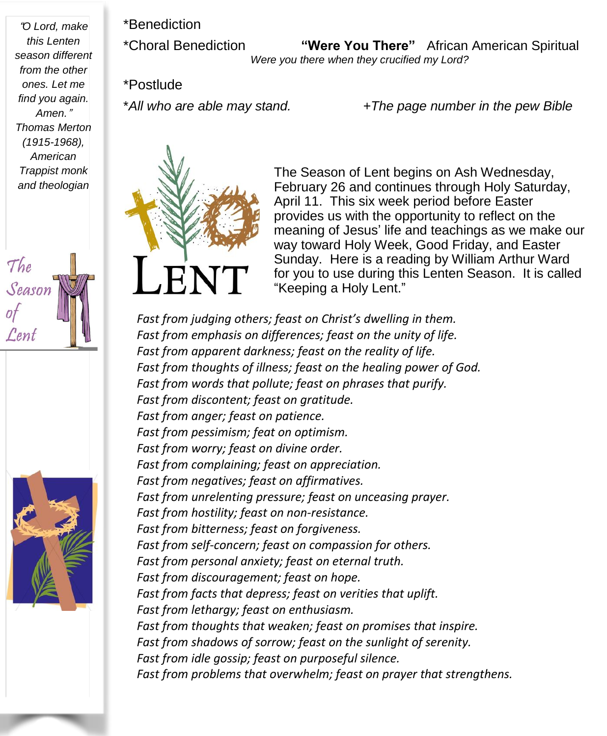"*O Lord, make this Lenten season different from the other ones. Let me find you again. Amen.*" *Thomas Merton (1915-1968), American Trappist monk and theologian*





\*Benediction

\*Choral Benediction **"Were You There"** African American Spiritual *Were you there when they crucified my Lord?*

\*Postlude

\**All who are able may stand. +The page number in the pew Bible*



The Season of Lent begins on Ash Wednesday, February 26 and continues through Holy Saturday, April 11. This six week period before Easter provides us with the opportunity to reflect on the meaning of Jesus' life and teachings as we make our way toward Holy Week, Good Friday, and Easter Sunday. Here is a reading by William Arthur Ward for you to use during this Lenten Season. It is called "Keeping a Holy Lent."

*Fast from judging others; feast on Christ's dwelling in them. Fast from emphasis on differences; feast on the unity of life. Fast from apparent darkness; feast on the reality of life. Fast from thoughts of illness; feast on the healing power of God. Fast from words that pollute; feast on phrases that purify. Fast from discontent; feast on gratitude. Fast from anger; feast on patience. Fast from pessimism; feat on optimism. Fast from worry; feast on divine order. Fast from complaining; feast on appreciation. Fast from negatives; feast on affirmatives. Fast from unrelenting pressure; feast on unceasing prayer. Fast from hostility; feast on non-resistance. Fast from bitterness; feast on forgiveness. Fast from self-concern; feast on compassion for others. Fast from personal anxiety; feast on eternal truth. Fast from discouragement; feast on hope. Fast from facts that depress; feast on verities that uplift. Fast from lethargy; feast on enthusiasm. Fast from thoughts that weaken; feast on promises that inspire. Fast from shadows of sorrow; feast on the sunlight of serenity. Fast from idle gossip; feast on purposeful silence. Fast from problems that overwhelm; feast on prayer that strengthens.*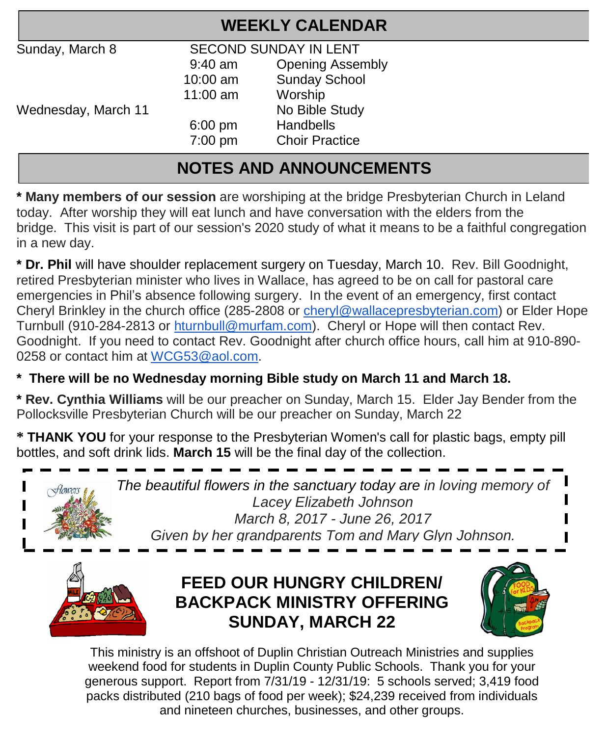| <b>WEEKLY CALENDAR</b> |                              |                         |  |  |  |  |
|------------------------|------------------------------|-------------------------|--|--|--|--|
| Sunday, March 8        | <b>SECOND SUNDAY IN LENT</b> |                         |  |  |  |  |
|                        | $9:40$ am                    | <b>Opening Assembly</b> |  |  |  |  |
|                        | $10:00$ am                   | <b>Sunday School</b>    |  |  |  |  |
|                        | $11:00$ am                   | Worship                 |  |  |  |  |
| Wednesday, March 11    |                              | No Bible Study          |  |  |  |  |
|                        | $6:00 \text{ pm}$            | <b>Handbells</b>        |  |  |  |  |
|                        | $7:00$ pm                    | <b>Choir Practice</b>   |  |  |  |  |
|                        |                              |                         |  |  |  |  |

## **NOTES AND ANNOUNCEMENTS**

**\* Many members of our session** are worshiping at the bridge Presbyterian Church in Leland today. After worship they will eat lunch and have conversation with the elders from the bridge. This visit is part of our session's 2020 study of what it means to be a faithful congregation in a new day.

**\* Dr. Phil** will have shoulder replacement surgery on Tuesday, March 10. Rev. Bill Goodnight, retired Presbyterian minister who lives in Wallace, has agreed to be on call for pastoral care emergencies in Phil's absence following surgery. In the event of an emergency, first contact Cheryl Brinkley in the church office (285-2808 or [cheryl@wallacepresbyterian.com\)](mailto:cheryl@wallacepresbyterian.com) or Elder Hope Turnbull (910-284-2813 or [hturnbull@murfam.com\)](mailto:hturnbull@murfam.com). Cheryl or Hope will then contact Rev. Goodnight. If you need to contact Rev. Goodnight after church office hours, call him at 910-890- 0258 or contact him at [WCG53@aol.com.](mailto:WCG53@aol.com)

#### **\* There will be no Wednesday morning Bible study on March 11 and March 18.**

**\* Rev. Cynthia Williams** will be our preacher on Sunday, March 15. Elder Jay Bender from the Pollocksville Presbyterian Church will be our preacher on Sunday, March 22

**\* THANK YOU** for your response to the Presbyterian Women's call for plastic bags, empty pill bottles, and soft drink lids. **March 15** will be the final day of the collection.



*The beautiful flowers in the sanctuary today are in loving memory of Lacey Elizabeth Johnson March 8, 2017 - June 26, 2017 Given by her grandparents Tom and Mary Glyn Johnson.*



## **FEED OUR HUNGRY CHILDREN/ BACKPACK MINISTRY OFFERING SUNDAY, MARCH 22**



This ministry is an offshoot of Duplin Christian Outreach Ministries and supplies weekend food for students in Duplin County Public Schools. Thank you for your generous support. Report from 7/31/19 - 12/31/19: 5 schools served; 3,419 food packs distributed (210 bags of food per week); \$24,239 received from individuals and nineteen churches, businesses, and other groups.